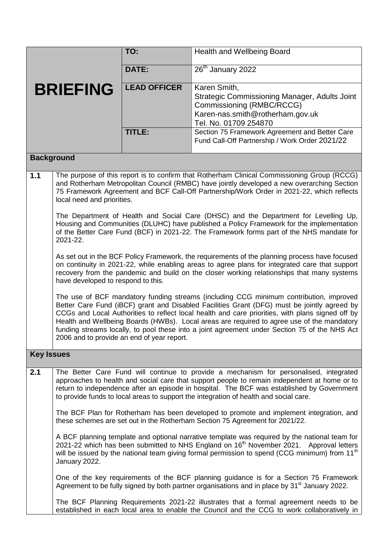|                   |                                            | TO:                 | <b>Health and Wellbeing Board</b>                                                                                                                                                                                                                                                                                                                                                                                                                                                        |  |
|-------------------|--------------------------------------------|---------------------|------------------------------------------------------------------------------------------------------------------------------------------------------------------------------------------------------------------------------------------------------------------------------------------------------------------------------------------------------------------------------------------------------------------------------------------------------------------------------------------|--|
|                   |                                            | <b>DATE:</b>        | $26th$ January 2022                                                                                                                                                                                                                                                                                                                                                                                                                                                                      |  |
| <b>BRIEFING</b>   |                                            | <b>LEAD OFFICER</b> | Karen Smith,<br>Strategic Commissioning Manager, Adults Joint<br>Commissioning (RMBC/RCCG)<br>Karen-nas.smith@rotherham.gov.uk<br>Tel. No. 01709 254870                                                                                                                                                                                                                                                                                                                                  |  |
|                   |                                            | <b>TITLE:</b>       | Section 75 Framework Agreement and Better Care<br>Fund Call-Off Partnership / Work Order 2021/22                                                                                                                                                                                                                                                                                                                                                                                         |  |
|                   | <b>Background</b>                          |                     |                                                                                                                                                                                                                                                                                                                                                                                                                                                                                          |  |
| 1.1               | local need and priorities.                 |                     | The purpose of this report is to confirm that Rotherham Clinical Commissioning Group (RCCG)<br>and Rotherham Metropolitan Council (RMBC) have jointly developed a new overarching Section<br>75 Framework Agreement and BCF Call-Off Partnership/Work Order in 2021-22, which reflects                                                                                                                                                                                                   |  |
|                   | 2021-22.                                   |                     | The Department of Health and Social Care (DHSC) and the Department for Levelling Up,<br>Housing and Communities (DLUHC) have published a Policy Framework for the implementation<br>of the Better Care Fund (BCF) in 2021-22. The Framework forms part of the NHS mandate for                                                                                                                                                                                                            |  |
|                   | have developed to respond to this.         |                     | As set out in the BCF Policy Framework, the requirements of the planning process have focused<br>on continuity in 2021-22, while enabling areas to agree plans for integrated care that support<br>recovery from the pandemic and build on the closer working relationships that many systems                                                                                                                                                                                            |  |
|                   | 2006 and to provide an end of year report. |                     | The use of BCF mandatory funding streams (including CCG minimum contribution, improved<br>Better Care Fund (iBCF) grant and Disabled Facilities Grant (DFG) must be jointly agreed by<br>CCGs and Local Authorities to reflect local health and care priorities, with plans signed off by<br>Health and Wellbeing Boards (HWBs). Local areas are required to agree use of the mandatory<br>funding streams locally, to pool these into a joint agreement under Section 75 of the NHS Act |  |
| <b>Key Issues</b> |                                            |                     |                                                                                                                                                                                                                                                                                                                                                                                                                                                                                          |  |
| 2.1               |                                            |                     | The Better Care Fund will continue to provide a mechanism for personalised, integrated<br>approaches to health and social care that support people to remain independent at home or to<br>return to independence after an episode in hospital. The BCF was established by Government<br>to provide funds to local areas to support the integration of health and social care.                                                                                                            |  |
|                   |                                            |                     | The BCF Plan for Rotherham has been developed to promote and implement integration, and<br>these schemes are set out in the Rotherham Section 75 Agreement for 2021/22.                                                                                                                                                                                                                                                                                                                  |  |
|                   | January 2022.                              |                     | A BCF planning template and optional narrative template was required by the national team for<br>2021-22 which has been submitted to NHS England on 16 <sup>th</sup> November 2021. Approval letters<br>will be issued by the national team giving formal permission to spend (CCG minimum) from 11 <sup>th</sup>                                                                                                                                                                        |  |
|                   |                                            |                     | One of the key requirements of the BCF planning guidance is for a Section 75 Framework<br>Agreement to be fully signed by both partner organisations and in place by 31 <sup>st</sup> January 2022.                                                                                                                                                                                                                                                                                      |  |
|                   |                                            |                     | The BCF Planning Requirements 2021-22 illustrates that a formal agreement needs to be<br>established in each local area to enable the Council and the CCG to work collaboratively in                                                                                                                                                                                                                                                                                                     |  |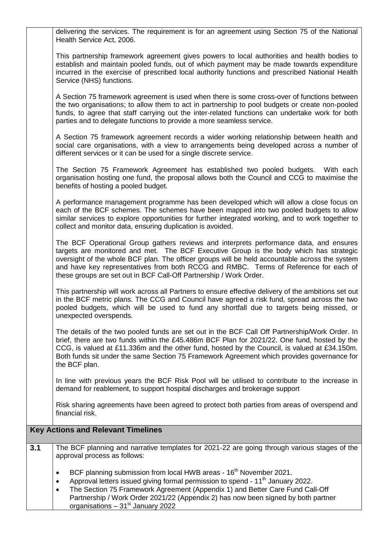|     | delivering the services. The requirement is for an agreement using Section 75 of the National<br>Health Service Act, 2006.                                                                                                                                                                                                                                                                                                                       |
|-----|--------------------------------------------------------------------------------------------------------------------------------------------------------------------------------------------------------------------------------------------------------------------------------------------------------------------------------------------------------------------------------------------------------------------------------------------------|
|     | This partnership framework agreement gives powers to local authorities and health bodies to<br>establish and maintain pooled funds, out of which payment may be made towards expenditure<br>incurred in the exercise of prescribed local authority functions and prescribed National Health<br>Service (NHS) functions.                                                                                                                          |
|     | A Section 75 framework agreement is used when there is some cross-over of functions between<br>the two organisations; to allow them to act in partnership to pool budgets or create non-pooled<br>funds, to agree that staff carrying out the inter-related functions can undertake work for both<br>parties and to delegate functions to provide a more seamless service.                                                                       |
|     | A Section 75 framework agreement records a wider working relationship between health and<br>social care organisations, with a view to arrangements being developed across a number of<br>different services or it can be used for a single discrete service.                                                                                                                                                                                     |
|     | The Section 75 Framework Agreement has established two pooled budgets. With each<br>organisation hosting one fund, the proposal allows both the Council and CCG to maximise the<br>benefits of hosting a pooled budget.                                                                                                                                                                                                                          |
|     | A performance management programme has been developed which will allow a close focus on<br>each of the BCF schemes. The schemes have been mapped into two pooled budgets to allow<br>similar services to explore opportunities for further integrated working, and to work together to<br>collect and monitor data, ensuring duplication is avoided.                                                                                             |
|     | The BCF Operational Group gathers reviews and interprets performance data, and ensures<br>targets are monitored and met. The BCF Executive Group is the body which has strategic<br>oversight of the whole BCF plan. The officer groups will be held accountable across the system<br>and have key representatives from both RCCG and RMBC. Terms of Reference for each of<br>these groups are set out in BCF Call-Off Partnership / Work Order. |
|     | This partnership will work across all Partners to ensure effective delivery of the ambitions set out<br>in the BCF metric plans. The CCG and Council have agreed a risk fund, spread across the two<br>pooled budgets, which will be used to fund any shortfall due to targets being missed, or<br>unexpected overspends.                                                                                                                        |
|     | The details of the two pooled funds are set out in the BCF Call Off Partnership/Work Order. In<br>brief, there are two funds within the £45.486m BCF Plan for 2021/22. One fund, hosted by the<br>CCG, is valued at £11.336m and the other fund, hosted by the Council, is valued at £34.150m.<br>Both funds sit under the same Section 75 Framework Agreement which provides governance for<br>the BCF plan.                                    |
|     | In line with previous years the BCF Risk Pool will be utilised to contribute to the increase in<br>demand for reablement, to support hospital discharges and brokerage support                                                                                                                                                                                                                                                                   |
|     | Risk sharing agreements have been agreed to protect both parties from areas of overspend and<br>financial risk.                                                                                                                                                                                                                                                                                                                                  |
|     | <b>Key Actions and Relevant Timelines</b>                                                                                                                                                                                                                                                                                                                                                                                                        |
| 3.1 | The BCF planning and narrative templates for 2021-22 are going through various stages of the<br>approval process as follows:                                                                                                                                                                                                                                                                                                                     |
|     | BCF planning submission from local HWB areas - 16 <sup>th</sup> November 2021.<br>٠<br>Approval letters issued giving formal permission to spend - 11 <sup>th</sup> January 2022.<br>٠<br>The Section 75 Framework Agreement (Appendix 1) and Better Care Fund Call-Off<br>٠<br>Partnership / Work Order 2021/22 (Appendix 2) has now been signed by both partner<br>organisations - 31 <sup>st</sup> January 2022                               |